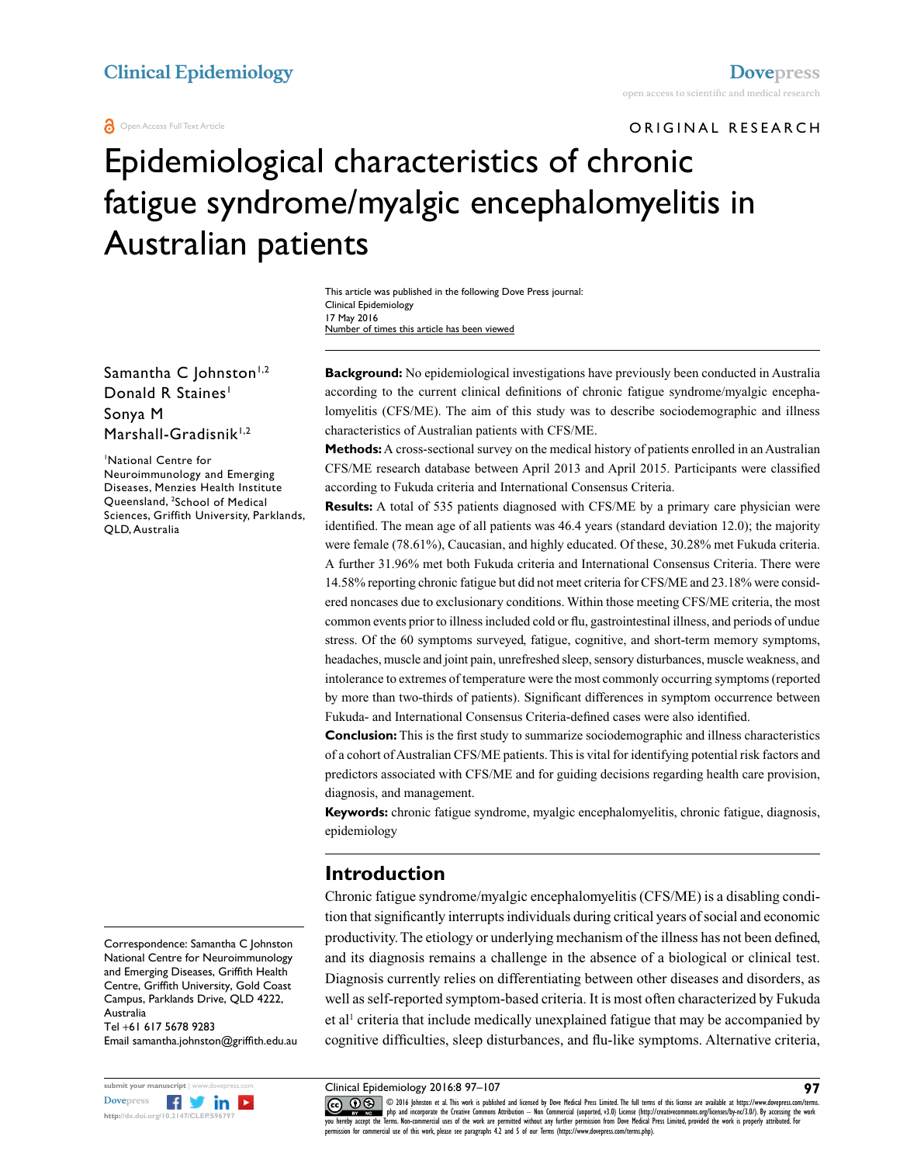ORIGINAL RESEARCH

# Epidemiological characteristics of chronic fatigue syndrome/myalgic encephalomyelitis in Australian patients

This article was published in the following Dove Press journal: Clinical Epidemiology 17 May 2016 Number of times this article has been viewed

Samantha C  $|ohnston|^{1,2}$ Donald R Staines<sup>1</sup> Sonya M Marshall-Gradisnik $1,2$ 

1 National Centre for Neuroimmunology and Emerging Diseases, Menzies Health Institute Queensland, 2 School of Medical Sciences, Griffith University, Parklands, QLD, Australia

Correspondence: Samantha C Johnston National Centre for Neuroimmunology and Emerging Diseases, Griffith Health Centre, Griffith University, Gold Coast Campus, Parklands Drive, QLD 4222, Australia

Tel +61 617 5678 9283 Email samantha.johnston@griffith.edu.au



**Background:** No epidemiological investigations have previously been conducted in Australia according to the current clinical definitions of chronic fatigue syndrome/myalgic encephalomyelitis (CFS/ME). The aim of this study was to describe sociodemographic and illness characteristics of Australian patients with CFS/ME.

**Methods:** A cross-sectional survey on the medical history of patients enrolled in an Australian CFS/ME research database between April 2013 and April 2015. Participants were classified according to Fukuda criteria and International Consensus Criteria.

**Results:** A total of 535 patients diagnosed with CFS/ME by a primary care physician were identified. The mean age of all patients was 46.4 years (standard deviation 12.0); the majority were female (78.61%), Caucasian, and highly educated. Of these, 30.28% met Fukuda criteria. A further 31.96% met both Fukuda criteria and International Consensus Criteria. There were 14.58% reporting chronic fatigue but did not meet criteria for CFS/ME and 23.18% were considered noncases due to exclusionary conditions. Within those meeting CFS/ME criteria, the most common events prior to illness included cold or flu, gastrointestinal illness, and periods of undue stress. Of the 60 symptoms surveyed, fatigue, cognitive, and short-term memory symptoms, headaches, muscle and joint pain, unrefreshed sleep, sensory disturbances, muscle weakness, and intolerance to extremes of temperature were the most commonly occurring symptoms (reported by more than two-thirds of patients). Significant differences in symptom occurrence between Fukuda- and International Consensus Criteria-defined cases were also identified.

**Conclusion:** This is the first study to summarize sociodemographic and illness characteristics of a cohort of Australian CFS/ME patients. This is vital for identifying potential risk factors and predictors associated with CFS/ME and for guiding decisions regarding health care provision, diagnosis, and management.

**Keywords:** chronic fatigue syndrome, myalgic encephalomyelitis, chronic fatigue, diagnosis, epidemiology

#### **Introduction**

Chronic fatigue syndrome/myalgic encephalomyelitis (CFS/ME) is a disabling condition that significantly interrupts individuals during critical years of social and economic productivity. The etiology or underlying mechanism of the illness has not been defined, and its diagnosis remains a challenge in the absence of a biological or clinical test. Diagnosis currently relies on differentiating between other diseases and disorders, as well as self-reported symptom-based criteria. It is most often characterized by Fukuda et al<sup>1</sup> criteria that include medically unexplained fatigue that may be accompanied by cognitive difficulties, sleep disturbances, and flu-like symptoms. Alternative criteria,

Clinical Epidemiology 2016:8 97–107

CO OD 6 Johnston et al. This work is published and licensed by Dove Medical Press Limited. The full terms of this license are available at https://www.dovepress.com/terms.<br>You hereby accept the Terms Alon commetrial uses o permission for commercial use of this work, please see paragraphs 4.2 and 5 of our Terms (https://www.dovepress.com/terms.php).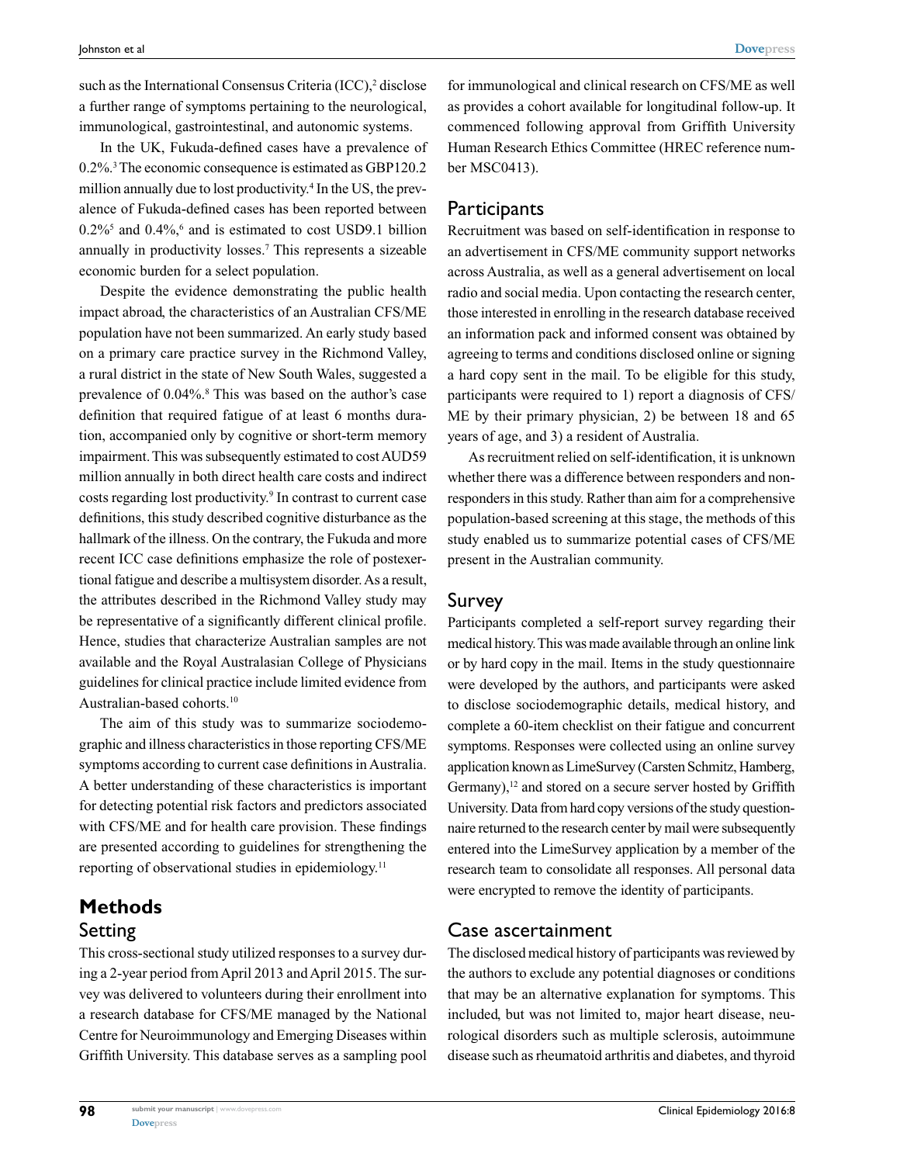such as the International Consensus Criteria (ICC),<sup>2</sup> disclose a further range of symptoms pertaining to the neurological, immunological, gastrointestinal, and autonomic systems.

In the UK, Fukuda-defined cases have a prevalence of 0.2%.3 The economic consequence is estimated as GBP120.2 million annually due to lost productivity.<sup>4</sup> In the US, the prevalence of Fukuda-defined cases has been reported between  $0.2\%$ <sup>5</sup> and  $0.4\%$ , <sup>6</sup> and is estimated to cost USD9.1 billion annually in productivity losses.7 This represents a sizeable economic burden for a select population.

Despite the evidence demonstrating the public health impact abroad, the characteristics of an Australian CFS/ME population have not been summarized. An early study based on a primary care practice survey in the Richmond Valley, a rural district in the state of New South Wales, suggested a prevalence of 0.04%.<sup>8</sup> This was based on the author's case definition that required fatigue of at least 6 months duration, accompanied only by cognitive or short-term memory impairment. This was subsequently estimated to cost AUD59 million annually in both direct health care costs and indirect costs regarding lost productivity.<sup>9</sup> In contrast to current case definitions, this study described cognitive disturbance as the hallmark of the illness. On the contrary, the Fukuda and more recent ICC case definitions emphasize the role of postexertional fatigue and describe a multisystem disorder. As a result, the attributes described in the Richmond Valley study may be representative of a significantly different clinical profile. Hence, studies that characterize Australian samples are not available and the Royal Australasian College of Physicians guidelines for clinical practice include limited evidence from Australian-based cohorts.<sup>10</sup>

The aim of this study was to summarize sociodemographic and illness characteristics in those reporting CFS/ME symptoms according to current case definitions in Australia. A better understanding of these characteristics is important for detecting potential risk factors and predictors associated with CFS/ME and for health care provision. These findings are presented according to guidelines for strengthening the reporting of observational studies in epidemiology.<sup>11</sup>

## **Methods** Setting

**98**

This cross-sectional study utilized responses to a survey during a 2-year period from April 2013 and April 2015. The survey was delivered to volunteers during their enrollment into a research database for CFS/ME managed by the National Centre for Neuroimmunology and Emerging Diseases within Griffith University. This database serves as a sampling pool

for immunological and clinical research on CFS/ME as well as provides a cohort available for longitudinal follow-up. It commenced following approval from Griffith University Human Research Ethics Committee (HREC reference number MSC0413).

#### **Participants**

Recruitment was based on self-identification in response to an advertisement in CFS/ME community support networks across Australia, as well as a general advertisement on local radio and social media. Upon contacting the research center, those interested in enrolling in the research database received an information pack and informed consent was obtained by agreeing to terms and conditions disclosed online or signing a hard copy sent in the mail. To be eligible for this study, participants were required to 1) report a diagnosis of CFS/ ME by their primary physician, 2) be between 18 and 65 years of age, and 3) a resident of Australia.

As recruitment relied on self-identification, it is unknown whether there was a difference between responders and nonresponders in this study. Rather than aim for a comprehensive population-based screening at this stage, the methods of this study enabled us to summarize potential cases of CFS/ME present in the Australian community.

#### Survey

Participants completed a self-report survey regarding their medical history. This was made available through an online link or by hard copy in the mail. Items in the study questionnaire were developed by the authors, and participants were asked to disclose sociodemographic details, medical history, and complete a 60-item checklist on their fatigue and concurrent symptoms. Responses were collected using an online survey application known as LimeSurvey (Carsten Schmitz, Hamberg, Germany),<sup>12</sup> and stored on a secure server hosted by Griffith University. Data from hard copy versions of the study questionnaire returned to the research center by mail were subsequently entered into the LimeSurvey application by a member of the research team to consolidate all responses. All personal data were encrypted to remove the identity of participants.

### Case ascertainment

The disclosed medical history of participants was reviewed by the authors to exclude any potential diagnoses or conditions that may be an alternative explanation for symptoms. This included, but was not limited to, major heart disease, neurological disorders such as multiple sclerosis, autoimmune disease such as rheumatoid arthritis and diabetes, and thyroid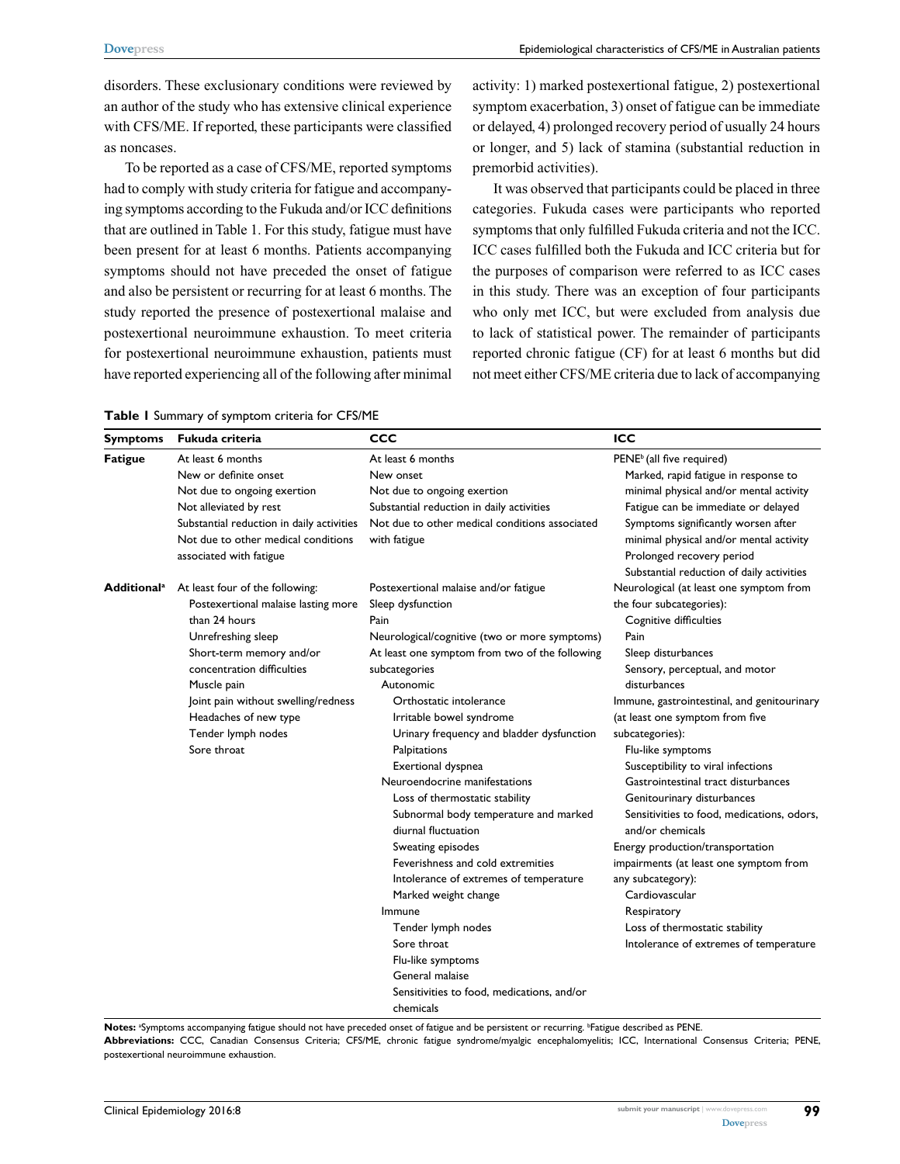disorders. These exclusionary conditions were reviewed by an author of the study who has extensive clinical experience with CFS/ME. If reported, these participants were classified as noncases.

To be reported as a case of CFS/ME, reported symptoms had to comply with study criteria for fatigue and accompanying symptoms according to the Fukuda and/or ICC definitions that are outlined in Table 1. For this study, fatigue must have been present for at least 6 months. Patients accompanying symptoms should not have preceded the onset of fatigue and also be persistent or recurring for at least 6 months. The study reported the presence of postexertional malaise and postexertional neuroimmune exhaustion. To meet criteria for postexertional neuroimmune exhaustion, patients must have reported experiencing all of the following after minimal activity: 1) marked postexertional fatigue, 2) postexertional symptom exacerbation, 3) onset of fatigue can be immediate or delayed, 4) prolonged recovery period of usually 24 hours or longer, and 5) lack of stamina (substantial reduction in premorbid activities).

It was observed that participants could be placed in three categories. Fukuda cases were participants who reported symptoms that only fulfilled Fukuda criteria and not the ICC. ICC cases fulfilled both the Fukuda and ICC criteria but for the purposes of comparison were referred to as ICC cases in this study. There was an exception of four participants who only met ICC, but were excluded from analysis due to lack of statistical power. The remainder of participants reported chronic fatigue (CF) for at least 6 months but did not meet either CFS/ME criteria due to lack of accompanying

| <b>Symptoms</b> | Fukuda criteria                                                                                                                                                                                                                                                                                                     | CCC                                                                                                                                                                                                                                                                                                                                                                                                                                                                                                   | ICC                                                                                                                                                                                                                                                                                                                                                                                                                                                                                                                      |
|-----------------|---------------------------------------------------------------------------------------------------------------------------------------------------------------------------------------------------------------------------------------------------------------------------------------------------------------------|-------------------------------------------------------------------------------------------------------------------------------------------------------------------------------------------------------------------------------------------------------------------------------------------------------------------------------------------------------------------------------------------------------------------------------------------------------------------------------------------------------|--------------------------------------------------------------------------------------------------------------------------------------------------------------------------------------------------------------------------------------------------------------------------------------------------------------------------------------------------------------------------------------------------------------------------------------------------------------------------------------------------------------------------|
| <b>Fatigue</b>  | At least 6 months<br>New or definite onset<br>Not due to ongoing exertion<br>Not alleviated by rest<br>Substantial reduction in daily activities                                                                                                                                                                    | At least 6 months<br>New onset<br>Not due to ongoing exertion<br>Substantial reduction in daily activities<br>Not due to other medical conditions associated                                                                                                                                                                                                                                                                                                                                          | PENE <sup>b</sup> (all five required)<br>Marked, rapid fatigue in response to<br>minimal physical and/or mental activity<br>Fatigue can be immediate or delayed<br>Symptoms significantly worsen after                                                                                                                                                                                                                                                                                                                   |
|                 | Not due to other medical conditions<br>associated with fatigue                                                                                                                                                                                                                                                      | with fatigue                                                                                                                                                                                                                                                                                                                                                                                                                                                                                          | minimal physical and/or mental activity<br>Prolonged recovery period<br>Substantial reduction of daily activities                                                                                                                                                                                                                                                                                                                                                                                                        |
|                 | Additional <sup>a</sup> At least four of the following:<br>Postexertional malaise lasting more<br>than 24 hours<br>Unrefreshing sleep<br>Short-term memory and/or<br>concentration difficulties<br>Muscle pain<br>Joint pain without swelling/redness<br>Headaches of new type<br>Tender lymph nodes<br>Sore throat | Postexertional malaise and/or fatigue<br>Sleep dysfunction<br>Pain<br>Neurological/cognitive (two or more symptoms)<br>At least one symptom from two of the following<br>subcategories<br>Autonomic<br>Orthostatic intolerance<br>Irritable bowel syndrome<br>Urinary frequency and bladder dysfunction<br>Palpitations<br>Exertional dyspnea<br>Neuroendocrine manifestations<br>Loss of thermostatic stability<br>Subnormal body temperature and marked<br>diurnal fluctuation<br>Sweating episodes | Neurological (at least one symptom from<br>the four subcategories):<br>Cognitive difficulties<br>Pain<br>Sleep disturbances<br>Sensory, perceptual, and motor<br>disturbances<br>Immune, gastrointestinal, and genitourinary<br>(at least one symptom from five<br>subcategories):<br>Flu-like symptoms<br>Susceptibility to viral infections<br>Gastrointestinal tract disturbances<br>Genitourinary disturbances<br>Sensitivities to food, medications, odors,<br>and/or chemicals<br>Energy production/transportation |
|                 |                                                                                                                                                                                                                                                                                                                     | Feverishness and cold extremities<br>Intolerance of extremes of temperature<br>Marked weight change<br>Immune<br>Tender lymph nodes<br>Sore throat<br>Flu-like symptoms<br>General malaise<br>Sensitivities to food, medications, and/or<br>chemicals                                                                                                                                                                                                                                                 | impairments (at least one symptom from<br>any subcategory):<br>Cardiovascular<br>Respiratory<br>Loss of thermostatic stability<br>Intolerance of extremes of temperature                                                                                                                                                                                                                                                                                                                                                 |

**Table 1** Summary of symptom criteria for CFS/ME

Notes: <sup>a</sup>Symptoms accompanying fatigue should not have preceded onset of fatigue and be persistent or recurring. <sup>b</sup>Fatigue described as PENE. **Abbreviations:** CCC, Canadian Consensus Criteria; CFS/ME, chronic fatigue syndrome/myalgic encephalomyelitis; ICC, International Consensus Criteria; PENE,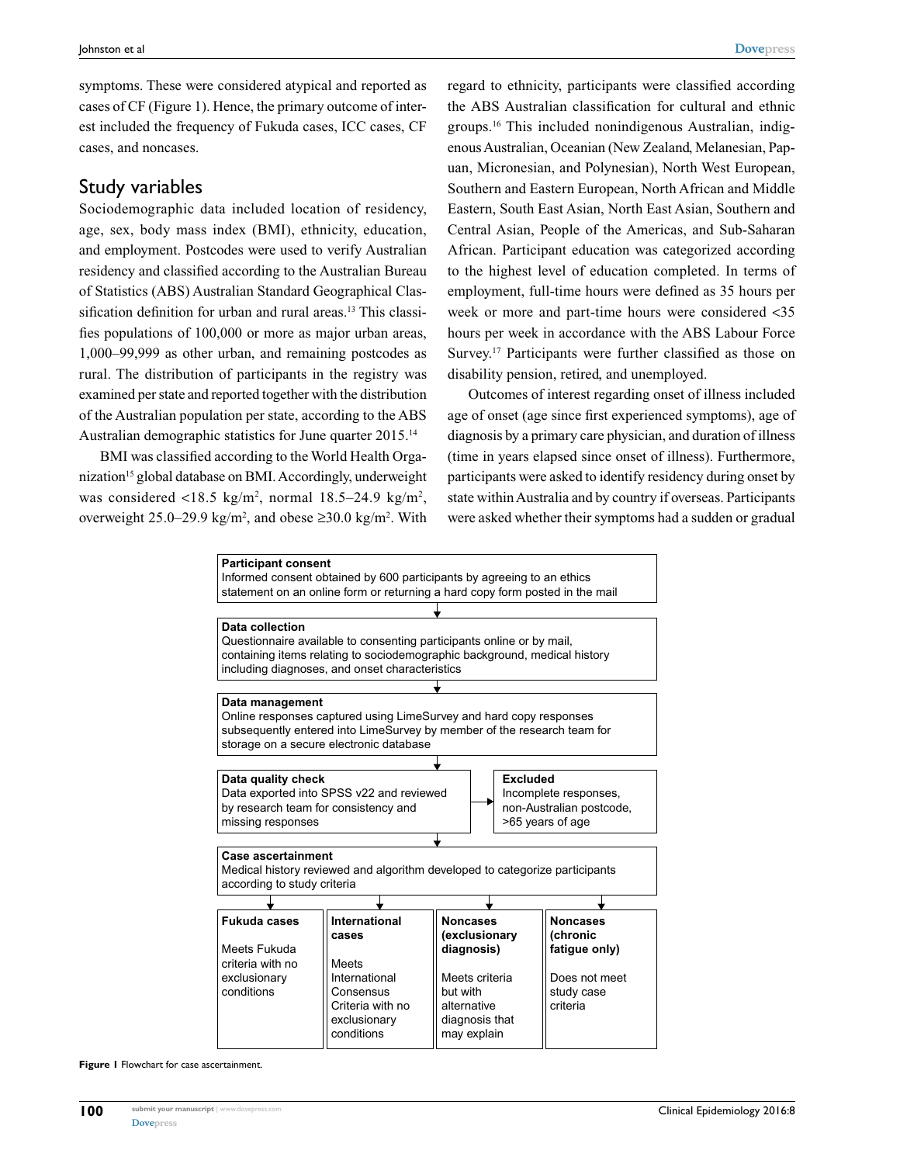symptoms. These were considered atypical and reported as cases of CF (Figure 1). Hence, the primary outcome of interest included the frequency of Fukuda cases, ICC cases, CF cases, and noncases.

## Study variables

Sociodemographic data included location of residency, age, sex, body mass index (BMI), ethnicity, education, and employment. Postcodes were used to verify Australian residency and classified according to the Australian Bureau of Statistics (ABS) Australian Standard Geographical Classification definition for urban and rural areas.<sup>13</sup> This classifies populations of 100,000 or more as major urban areas, 1,000–99,999 as other urban, and remaining postcodes as rural. The distribution of participants in the registry was examined per state and reported together with the distribution of the Australian population per state, according to the ABS Australian demographic statistics for June quarter 2015.14

BMI was classified according to the World Health Organization<sup>15</sup> global database on BMI. Accordingly, underweight was considered <18.5 kg/m<sup>2</sup>, normal  $18.5-24.9$  kg/m<sup>2</sup>, overweight  $25.0-29.9 \text{ kg/m}^2$ , and obese  $\geq 30.0 \text{ kg/m}^2$ . With regard to ethnicity, participants were classified according the ABS Australian classification for cultural and ethnic groups.16 This included nonindigenous Australian, indigenous Australian, Oceanian (New Zealand, Melanesian, Papuan, Micronesian, and Polynesian), North West European, Southern and Eastern European, North African and Middle Eastern, South East Asian, North East Asian, Southern and Central Asian, People of the Americas, and Sub-Saharan African. Participant education was categorized according to the highest level of education completed. In terms of employment, full-time hours were defined as 35 hours per week or more and part-time hours were considered <35 hours per week in accordance with the ABS Labour Force Survey.<sup>17</sup> Participants were further classified as those on disability pension, retired, and unemployed.

Outcomes of interest regarding onset of illness included age of onset (age since first experienced symptoms), age of diagnosis by a primary care physician, and duration of illness (time in years elapsed since onset of illness). Furthermore, participants were asked to identify residency during onset by state within Australia and by country if overseas. Participants were asked whether their symptoms had a sudden or gradual



**Figure 1** Flowchart for case ascertainment.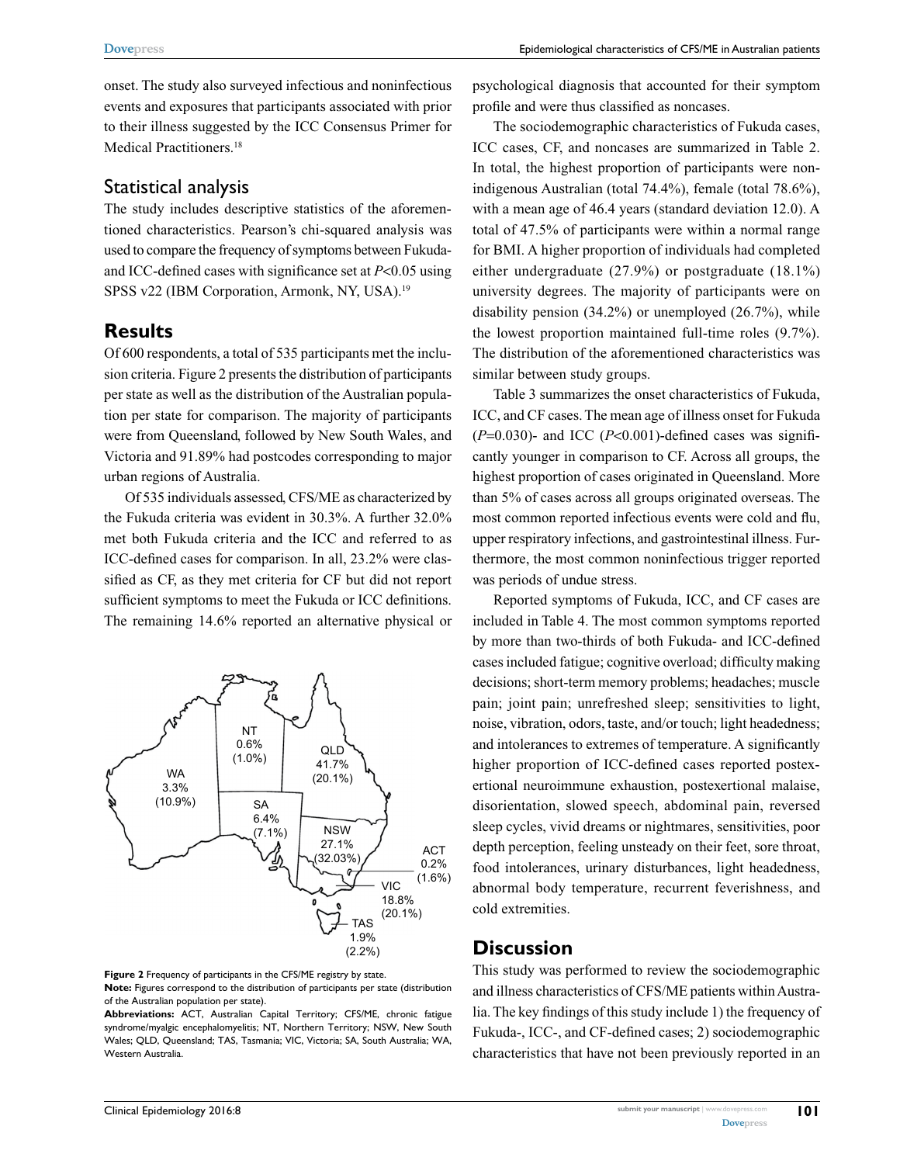onset. The study also surveyed infectious and noninfectious events and exposures that participants associated with prior to their illness suggested by the ICC Consensus Primer for Medical Practitioners.<sup>18</sup>

## Statistical analysis

The study includes descriptive statistics of the aforementioned characteristics. Pearson's chi-squared analysis was used to compare the frequency of symptoms between Fukudaand ICC-defined cases with significance set at *P*<0.05 using SPSS v22 (IBM Corporation, Armonk, NY, USA).<sup>19</sup>

## **Results**

Of 600 respondents, a total of 535 participants met the inclusion criteria. Figure 2 presents the distribution of participants per state as well as the distribution of the Australian population per state for comparison. The majority of participants were from Queensland, followed by New South Wales, and Victoria and 91.89% had postcodes corresponding to major urban regions of Australia.

Of 535 individuals assessed, CFS/ME as characterized by the Fukuda criteria was evident in 30.3%. A further 32.0% met both Fukuda criteria and the ICC and referred to as ICC-defined cases for comparison. In all, 23.2% were classified as CF, as they met criteria for CF but did not report sufficient symptoms to meet the Fukuda or ICC definitions. The remaining 14.6% reported an alternative physical or



**Figure 2** Frequency of participants in the CFS/ME registry by state. **Note:** Figures correspond to the distribution of participants per state (distribution of the Australian population per state).

**Abbreviations:** ACT, Australian Capital Territory; CFS/ME, chronic fatigue syndrome/myalgic encephalomyelitis; NT, Northern Territory; NSW, New South Wales; QLD, Queensland; TAS, Tasmania; VIC, Victoria; SA, South Australia; WA, Western Australia.

psychological diagnosis that accounted for their symptom profile and were thus classified as noncases.

The sociodemographic characteristics of Fukuda cases, ICC cases, CF, and noncases are summarized in Table 2. In total, the highest proportion of participants were nonindigenous Australian (total 74.4%), female (total 78.6%), with a mean age of 46.4 years (standard deviation 12.0). A total of 47.5% of participants were within a normal range for BMI. A higher proportion of individuals had completed either undergraduate (27.9%) or postgraduate (18.1%) university degrees. The majority of participants were on disability pension (34.2%) or unemployed (26.7%), while the lowest proportion maintained full-time roles (9.7%). The distribution of the aforementioned characteristics was similar between study groups.

Table 3 summarizes the onset characteristics of Fukuda, ICC, and CF cases. The mean age of illness onset for Fukuda  $(P=0.030)$ - and ICC  $(P<0.001)$ -defined cases was significantly younger in comparison to CF. Across all groups, the highest proportion of cases originated in Queensland. More than 5% of cases across all groups originated overseas. The most common reported infectious events were cold and flu, upper respiratory infections, and gastrointestinal illness. Furthermore, the most common noninfectious trigger reported was periods of undue stress.

Reported symptoms of Fukuda, ICC, and CF cases are included in Table 4. The most common symptoms reported by more than two-thirds of both Fukuda- and ICC-defined cases included fatigue; cognitive overload; difficulty making decisions; short-term memory problems; headaches; muscle pain; joint pain; unrefreshed sleep; sensitivities to light, noise, vibration, odors, taste, and/or touch; light headedness; and intolerances to extremes of temperature. A significantly higher proportion of ICC-defined cases reported postexertional neuroimmune exhaustion, postexertional malaise, disorientation, slowed speech, abdominal pain, reversed sleep cycles, vivid dreams or nightmares, sensitivities, poor depth perception, feeling unsteady on their feet, sore throat, food intolerances, urinary disturbances, light headedness, abnormal body temperature, recurrent feverishness, and cold extremities.

## **Discussion**

This study was performed to review the sociodemographic and illness characteristics of CFS/ME patients within Australia. The key findings of this study include 1) the frequency of Fukuda-, ICC-, and CF-defined cases; 2) sociodemographic characteristics that have not been previously reported in an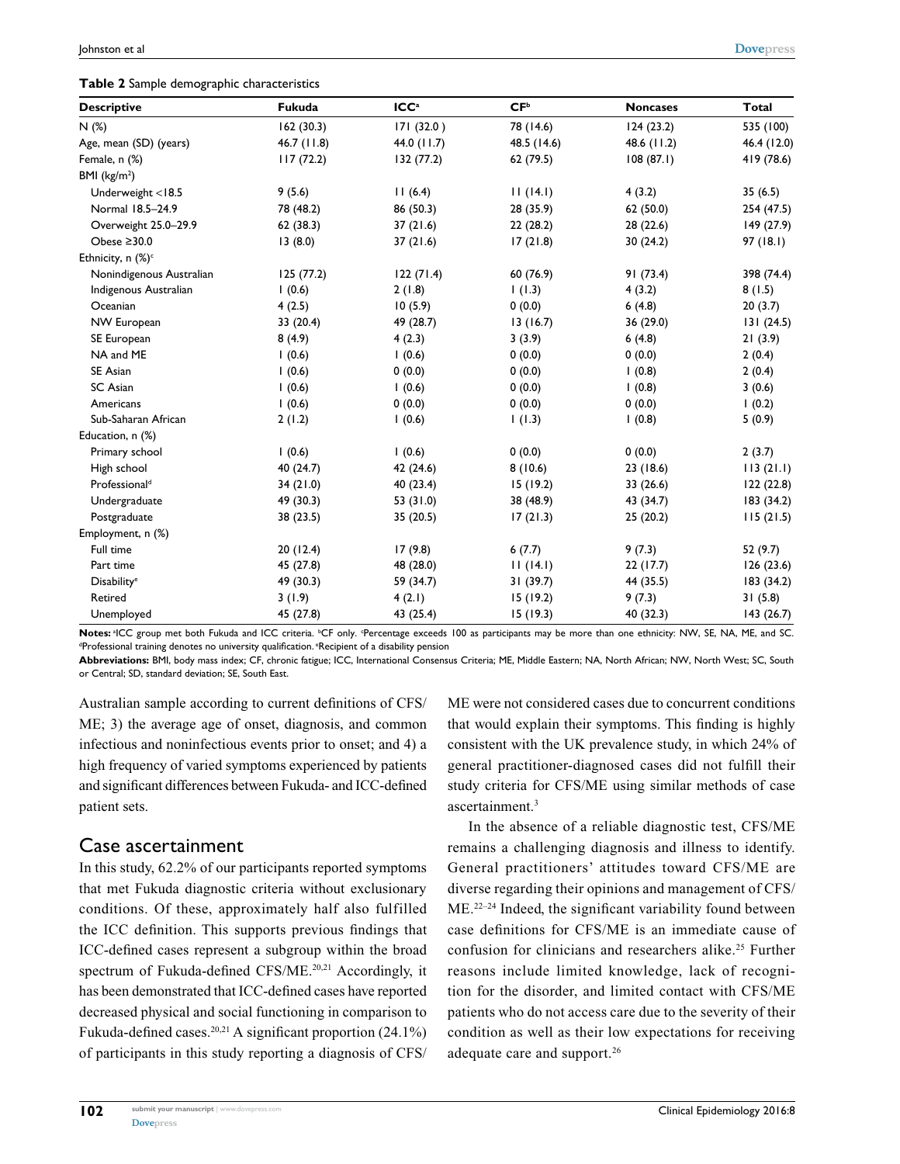| <b>Descriptive</b>            | Fukuda     | ICC <sup>a</sup> | CF <sup>b</sup> | <b>Noncases</b> | <b>Total</b> |
|-------------------------------|------------|------------------|-----------------|-----------------|--------------|
| N(%)                          | 162(30.3)  | 171 (32.0)       | 78 (14.6)       | 124(23.2)       | 535 (100)    |
| Age, mean (SD) (years)        | 46.7(11.8) | 44.0 (11.7)      | 48.5 (14.6)     | 48.6 (11.2)     | 46.4 (12.0)  |
| Female, n (%)                 | 117(72.2)  | 132 (77.2)       | 62 (79.5)       | 108(87.1)       | 419 (78.6)   |
| BMI $(kg/m2)$                 |            |                  |                 |                 |              |
| Underweight <18.5             | 9(5.6)     | 11(6.4)          | 11(14.1)        | 4(3.2)          | 35(6.5)      |
| Normal 18.5-24.9              | 78 (48.2)  | 86 (50.3)        | 28 (35.9)       | 62(50.0)        | 254 (47.5)   |
| Overweight 25.0-29.9          | 62(38.3)   | 37(21.6)         | 22(28.2)        | 28 (22.6)       | 149 (27.9)   |
| Obese $\geq 30.0$             | 13(8.0)    | 37(21.6)         | 17(21.8)        | 30 (24.2)       | 97(18.1)     |
| Ethnicity, n (%) <sup>c</sup> |            |                  |                 |                 |              |
| Nonindigenous Australian      | 125(77.2)  | 122(71.4)        | 60 (76.9)       | 91 (73.4)       | 398 (74.4)   |
| Indigenous Australian         | 1(0.6)     | 2(1.8)           | 1(1.3)          | 4(3.2)          | 8(1.5)       |
| Oceanian                      | 4(2.5)     | 10(5.9)          | 0(0.0)          | 6(4.8)          | 20(3.7)      |
| NW European                   | 33 (20.4)  | 49 (28.7)        | 13(16.7)        | 36 (29.0)       | 131(24.5)    |
| SE European                   | 8(4.9)     | 4(2.3)           | 3(3.9)          | 6(4.8)          | 21(3.9)      |
| NA and ME                     | 1(0.6)     | 1(0.6)           | 0(0.0)          | 0(0.0)          | 2(0.4)       |
| SE Asian                      | 1(0.6)     | 0(0.0)           | 0(0.0)          | (0.8)           | 2(0.4)       |
| SC Asian                      | 1(0.6)     | 1(0.6)           | 0(0.0)          | (0.8)           | 3(0.6)       |
| Americans                     | 1(0.6)     | 0(0.0)           | 0(0.0)          | 0(0.0)          | 1(0.2)       |
| Sub-Saharan African           | 2(1.2)     | 1(0.6)           | 1(1.3)          | (0.8)           | 5(0.9)       |
| Education, n (%)              |            |                  |                 |                 |              |
| Primary school                | 1(0.6)     | 1(0.6)           | 0(0.0)          | 0(0.0)          | 2(3.7)       |
| High school                   | 40 (24.7)  | 42 (24.6)        | 8(10.6)         | 23 (18.6)       | 113(21.1)    |
| Professional <sup>d</sup>     | 34(21.0)   | 40 (23.4)        | 15 (19.2)       | 33 (26.6)       | 122(22.8)    |
| Undergraduate                 | 49 (30.3)  | 53 (31.0)        | 38 (48.9)       | 43 (34.7)       | 183 (34.2)   |
| Postgraduate                  | 38 (23.5)  | 35(20.5)         | 17(21.3)        | 25(20.2)        | 115(21.5)    |
| Employment, n (%)             |            |                  |                 |                 |              |
| Full time                     | 20(12.4)   | 17(9.8)          | 6(7.7)          | 9(7.3)          | 52 (9.7)     |
| Part time                     | 45 (27.8)  | 48 (28.0)        | 11(14.1)        | 22(17.7)        | 126(23.6)    |
| <b>Disability<sup>e</sup></b> | 49 (30.3)  | 59 (34.7)        | 31(39.7)        | 44 (35.5)       | 183 (34.2)   |
| Retired                       | 3(1.9)     | 4(2.1)           | 15(19.2)        | 9(7.3)          | 31(5.8)      |
| Unemployed                    | 45 (27.8)  | 43 (25.4)        | 15(19.3)        | 40 (32.3)       | 143(26.7)    |

**Notes:** ªICC group met both Fukuda and ICC criteria. <sup>b</sup>CF only. Percentage exceeds 100 as participants may be more than one ethnicity: NW, SE, NA, ME, and SC.<br><sup>ap</sup>rofessional training denotes no university qualification <sup>d</sup>Professional training denotes no university qualification. <sup>e</sup>Recipient of a disability pension

**Abbreviations:** BMI, body mass index; CF, chronic fatigue; ICC, International Consensus Criteria; ME, Middle Eastern; NA, North African; NW, North West; SC, South or Central; SD, standard deviation; SE, South East.

Australian sample according to current definitions of CFS/ ME; 3) the average age of onset, diagnosis, and common infectious and noninfectious events prior to onset; and 4) a high frequency of varied symptoms experienced by patients and significant differences between Fukuda- and ICC-defined patient sets.

### Case ascertainment

In this study, 62.2% of our participants reported symptoms that met Fukuda diagnostic criteria without exclusionary conditions. Of these, approximately half also fulfilled the ICC definition. This supports previous findings that ICC-defined cases represent a subgroup within the broad spectrum of Fukuda-defined CFS/ME.<sup>20,21</sup> Accordingly, it has been demonstrated that ICC-defined cases have reported decreased physical and social functioning in comparison to Fukuda-defined cases.<sup>20,21</sup> A significant proportion  $(24.1\%)$ of participants in this study reporting a diagnosis of CFS/

ME were not considered cases due to concurrent conditions that would explain their symptoms. This finding is highly consistent with the UK prevalence study, in which 24% of general practitioner-diagnosed cases did not fulfill their study criteria for CFS/ME using similar methods of case ascertainment.<sup>3</sup>

In the absence of a reliable diagnostic test, CFS/ME remains a challenging diagnosis and illness to identify. General practitioners' attitudes toward CFS/ME are diverse regarding their opinions and management of CFS/ ME.<sup>22–24</sup> Indeed, the significant variability found between case definitions for CFS/ME is an immediate cause of confusion for clinicians and researchers alike.<sup>25</sup> Further reasons include limited knowledge, lack of recognition for the disorder, and limited contact with CFS/ME patients who do not access care due to the severity of their condition as well as their low expectations for receiving adequate care and support.26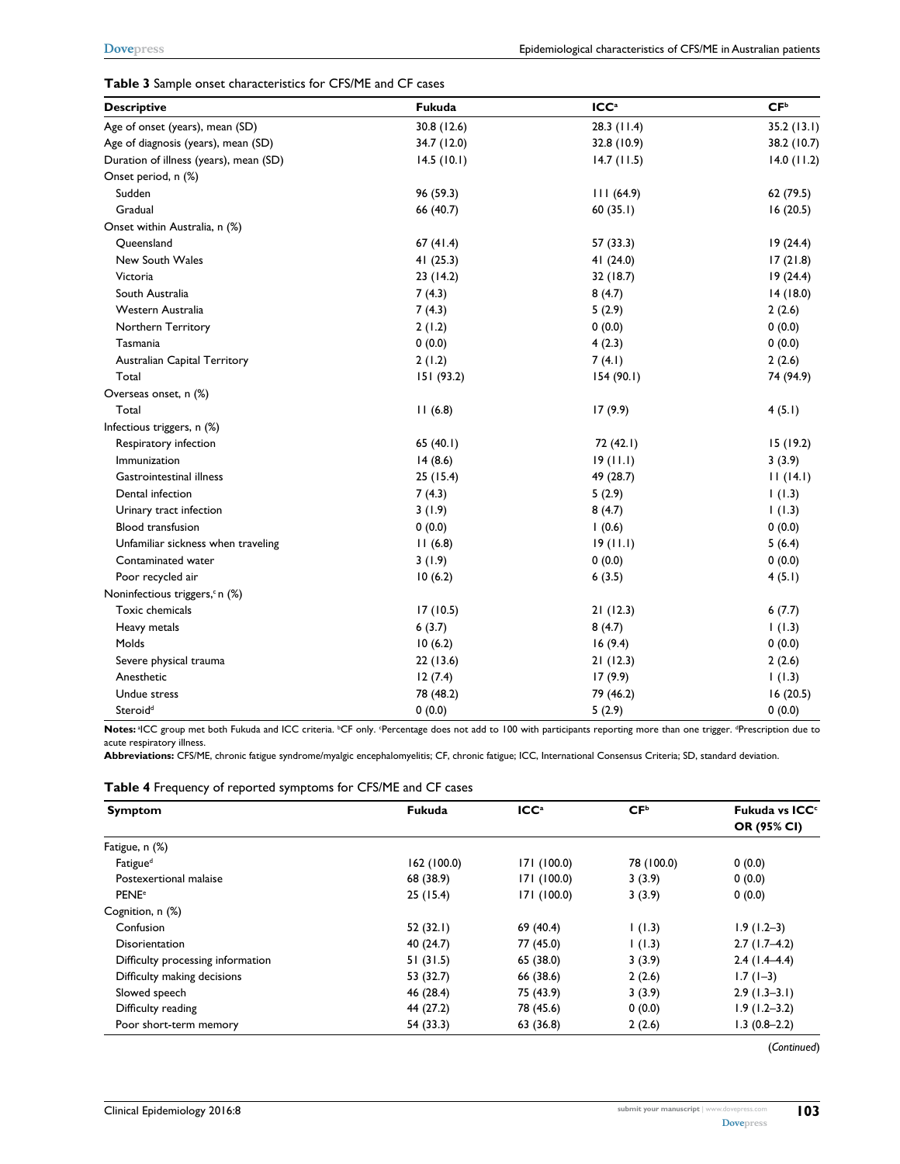#### **Table 3** Sample onset characteristics for CFS/ME and CF cases

| <b>Descriptive</b>                         | Fukuda      | ICC <sup>a</sup> | CF <sup>b</sup> |
|--------------------------------------------|-------------|------------------|-----------------|
| Age of onset (years), mean (SD)            | 30.8 (12.6) | $28.3$ (11.4)    | 35.2(13.1)      |
| Age of diagnosis (years), mean (SD)        | 34.7 (12.0) | 32.8 (10.9)      | 38.2 (10.7)     |
| Duration of illness (years), mean (SD)     | 14.5(10.1)  | 14.7(11.5)       | 14.0(11.2)      |
| Onset period, n (%)                        |             |                  |                 |
| Sudden                                     | 96 (59.3)   | 111(64.9)        | 62 (79.5)       |
| Gradual                                    | 66 (40.7)   | 60(35.1)         | 16(20.5)        |
| Onset within Australia, n (%)              |             |                  |                 |
| Queensland                                 | 67(41.4)    | 57 (33.3)        | 19(24.4)        |
| New South Wales                            | 41(25.3)    | 41(24.0)         | 17(21.8)        |
| Victoria                                   | 23(14.2)    | 32 (18.7)        | 19(24.4)        |
| South Australia                            | 7(4.3)      | 8(4.7)           | 14(18.0)        |
| Western Australia                          | 7(4.3)      | 5(2.9)           | 2(2.6)          |
| Northern Territory                         | 2(1.2)      | 0(0.0)           | 0(0.0)          |
| Tasmania                                   | 0(0.0)      | 4(2.3)           | 0(0.0)          |
| Australian Capital Territory               | 2(1.2)      | 7(4.1)           | 2(2.6)          |
| Total                                      | 151(93.2)   | 154(90.1)        | 74 (94.9)       |
| Overseas onset, n (%)                      |             |                  |                 |
| Total                                      | 11(6.8)     | 17(9.9)          | 4(5.1)          |
| Infectious triggers, n (%)                 |             |                  |                 |
| Respiratory infection                      | 65 $(40.1)$ | 72 (42.1)        | 15(19.2)        |
| Immunization                               | 14(8.6)     | 19(11.1)         | 3(3.9)          |
| Gastrointestinal illness                   | 25(15.4)    | 49 (28.7)        | 11(14.1)        |
| Dental infection                           | 7(4.3)      | 5(2.9)           | 1(1.3)          |
| Urinary tract infection                    | 3(1.9)      | 8(4.7)           | 1(1.3)          |
| <b>Blood transfusion</b>                   | 0(0.0)      | 1(0.6)           | 0(0.0)          |
| Unfamiliar sickness when traveling         | 11(6.8)     | 19(11.1)         | 5(6.4)          |
| Contaminated water                         | 3(1.9)      | 0(0.0)           | 0(0.0)          |
| Poor recycled air                          | 10(6.2)     | 6(3.5)           | 4(5.1)          |
| Noninfectious triggers, <sup>c</sup> n (%) |             |                  |                 |
| Toxic chemicals                            | 17(10.5)    | 21(12.3)         | 6(7.7)          |
| Heavy metals                               | 6(3.7)      | 8(4.7)           | 1(1.3)          |
| Molds                                      | 10(6.2)     | 16(9.4)          | 0(0.0)          |
| Severe physical trauma                     | 22(13.6)    | 21(12.3)         | 2(2.6)          |
| Anesthetic                                 | 12(7.4)     | 17(9.9)          | 1(1.3)          |
| Undue stress                               | 78 (48.2)   | 79 (46.2)        | 16(20.5)        |
| Steroid <sup>d</sup>                       | 0(0.0)      | 5(2.9)           | 0(0.0)          |

Notes: <sup>a</sup>ICC group met both Fukuda and ICC criteria. <sup>b</sup>CF only. Percentage does not add to 100 with participants reporting more than one trigger. <sup>a</sup>Prescription due to acute respiratory illness.

**Abbreviations:** CFS/ME, chronic fatigue syndrome/myalgic encephalomyelitis; CF, chronic fatigue; ICC, International Consensus Criteria; SD, standard deviation.

|  |  |  | Table 4 Frequency of reported symptoms for CFS/ME and CF cases |  |  |
|--|--|--|----------------------------------------------------------------|--|--|
|--|--|--|----------------------------------------------------------------|--|--|

| <b>Symptom</b>                    | Fukuda      | ICC <sup>a</sup> | CF <sup>b</sup> | Fukuda vs ICC <sup>c</sup> |
|-----------------------------------|-------------|------------------|-----------------|----------------------------|
|                                   |             |                  |                 | OR (95% CI)                |
| Fatigue, n (%)                    |             |                  |                 |                            |
| Fatigue <sup>d</sup>              | 162 (100.0) | 171(100.0)       | 78 (100.0)      | 0(0.0)                     |
| Postexertional malaise            | 68 (38.9)   | 171(100.0)       | 3(3.9)          | 0(0.0)                     |
| <b>PENE</b> <sup>e</sup>          | 25(15.4)    | 171 (100.0)      | 3(3.9)          | 0(0.0)                     |
| Cognition, n (%)                  |             |                  |                 |                            |
| Confusion                         | 52(32.1)    | 69 (40.4)        | (1.3)           | $1.9(1.2-3)$               |
| <b>Disorientation</b>             | 40 (24.7)   | 77 (45.0)        | (1.3)           | $2.7(1.7-4.2)$             |
| Difficulty processing information | 51(31.5)    | 65 (38.0)        | 3(3.9)          | $2.4(1.4-4.4)$             |
| Difficulty making decisions       | 53 (32.7)   | 66 (38.6)        | 2(2.6)          | $1.7(1-3)$                 |
| Slowed speech                     | 46 (28.4)   | 75 (43.9)        | 3(3.9)          | $2.9(1.3-3.1)$             |
| Difficulty reading                | 44 (27.2)   | 78 (45.6)        | 0(0.0)          | $1.9(1.2 - 3.2)$           |
| Poor short-term memory            | 54 (33.3)   | 63 (36.8)        | 2(2.6)          | $1.3(0.8-2.2)$             |

(*Continued*)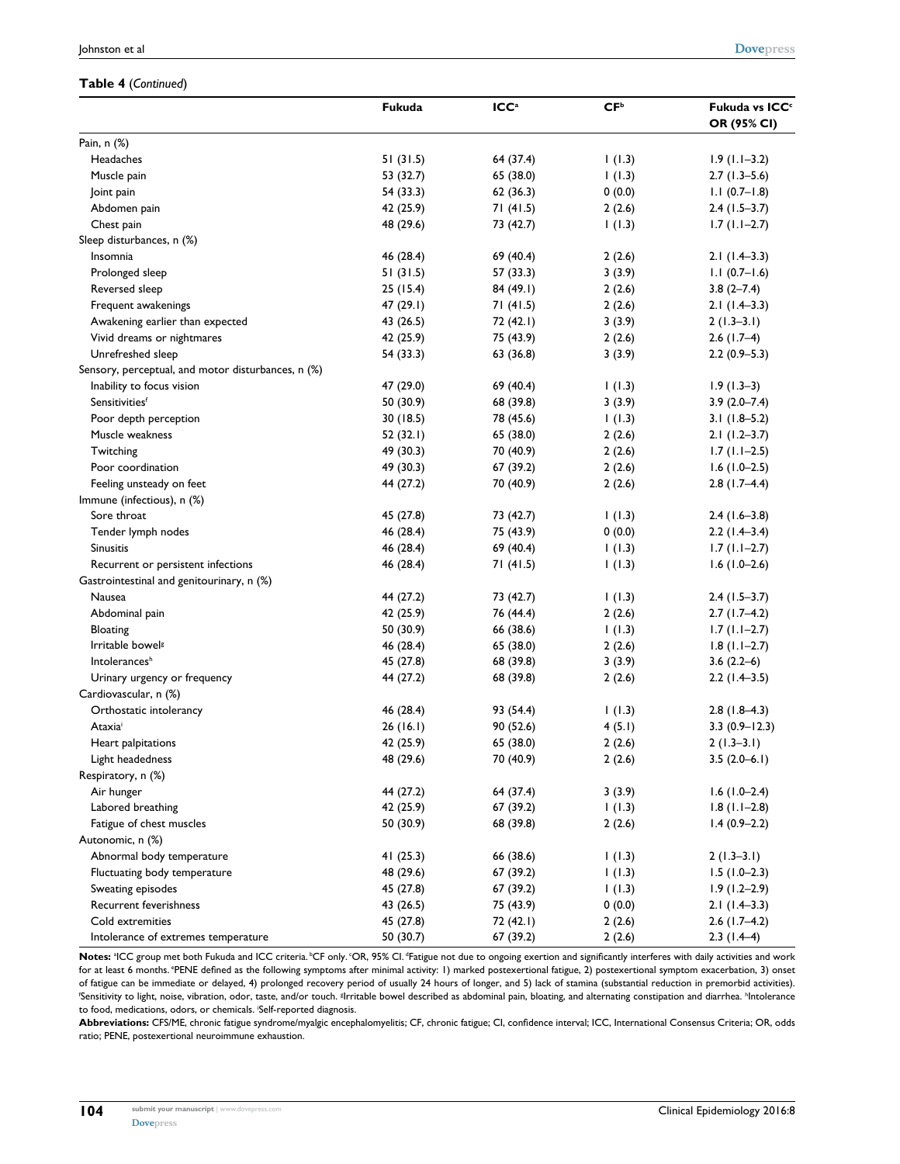#### **Table 4** (*Continued*)

|                                                    | Fukuda      | ICC <sup>a</sup> | CF <sup>b</sup> | Fukuda vs ICC <sup>c</sup><br>OR (95% CI) |
|----------------------------------------------------|-------------|------------------|-----------------|-------------------------------------------|
| Pain, n (%)                                        |             |                  |                 |                                           |
| Headaches                                          | 51(31.5)    | 64 (37.4)        | 1(1.3)          | $1.9(1.1-3.2)$                            |
| Muscle pain                                        | 53 (32.7)   | 65 (38.0)        | 1(1.3)          | $2.7(1.3-5.6)$                            |
| Joint pain                                         | 54 (33.3)   | 62(36.3)         | 0(0.0)          | $1.1(0.7-1.8)$                            |
| Abdomen pain                                       | 42 (25.9)   | 71(41.5)         | 2(2.6)          | $2.4(1.5-3.7)$                            |
| Chest pain                                         | 48 (29.6)   | 73 (42.7)        | 1(1.3)          | $1.7(1.1-2.7)$                            |
| Sleep disturbances, n (%)                          |             |                  |                 |                                           |
| Insomnia                                           | 46 (28.4)   | 69 (40.4)        | 2(2.6)          | $2.1(1.4-3.3)$                            |
| Prolonged sleep                                    | 51(31.5)    | 57 (33.3)        | 3(3.9)          | $1.1(0.7-1.6)$                            |
| Reversed sleep                                     | 25(15.4)    | 84 (49.1)        | 2(2.6)          | $3.8(2 - 7.4)$                            |
| Frequent awakenings                                | 47 (29.1)   | 71(41.5)         | 2(2.6)          | $2.1(1.4-3.3)$                            |
| Awakening earlier than expected                    | 43 (26.5)   | 72 (42.1)        | 3(3.9)          | $2(1.3-3.1)$                              |
| Vivid dreams or nightmares                         | 42 (25.9)   | 75 (43.9)        | 2(2.6)          | $2.6$ (1.7-4)                             |
| Unrefreshed sleep                                  | 54 (33.3)   | 63 (36.8)        | 3(3.9)          | $2.2(0.9-5.3)$                            |
| Sensory, perceptual, and motor disturbances, n (%) |             |                  |                 |                                           |
| Inability to focus vision                          | 47 (29.0)   | 69 (40.4)        | 1(1.3)          | $1.9(1.3-3)$                              |
| Sensitivitiesf                                     | 50 (30.9)   | 68 (39.8)        | 3(3.9)          | $3.9(2.0 - 7.4)$                          |
| Poor depth perception                              | 30(18.5)    | 78 (45.6)        | 1(1.3)          | $3.1(1.8-5.2)$                            |
| Muscle weakness                                    | 52(32.1)    | 65 (38.0)        | 2(2.6)          | $2.1(1.2-3.7)$                            |
| Twitching                                          | 49 (30.3)   | 70 (40.9)        | 2(2.6)          | $1.7(1.1-2.5)$                            |
| Poor coordination                                  | 49 (30.3)   | 67 (39.2)        | 2(2.6)          | $1.6(1.0-2.5)$                            |
| Feeling unsteady on feet                           | 44 (27.2)   | 70 (40.9)        | 2(2.6)          | $2.8(1.7-4.4)$                            |
| Immune (infectious), n (%)                         |             |                  |                 |                                           |
| Sore throat                                        | 45 (27.8)   | 73 (42.7)        | 1(1.3)          | $2.4(1.6-3.8)$                            |
| Tender lymph nodes                                 | 46 (28.4)   | 75 (43.9)        | 0(0.0)          | $2.2(1.4-3.4)$                            |
| Sinusitis                                          | 46 (28.4)   | 69 (40.4)        | 1(1.3)          | $1.7(1.1-2.7)$                            |
| Recurrent or persistent infections                 | 46 (28.4)   | 71(41.5)         | 1(1.3)          | $1.6(1.0-2.6)$                            |
| Gastrointestinal and genitourinary, n (%)          |             |                  |                 |                                           |
| Nausea                                             | 44 (27.2)   | 73 (42.7)        | 1(1.3)          | $2.4(1.5-3.7)$                            |
| Abdominal pain                                     | 42 (25.9)   | 76 (44.4)        | 2(2.6)          | $2.7(1.7-4.2)$                            |
| Bloating                                           | 50 (30.9)   | 66 (38.6)        | 1(1.3)          | $1.7(1.1-2.7)$                            |
| Irritable bowel <sup>g</sup>                       | 46 (28.4)   | 65 (38.0)        | 2(2.6)          | $1.8(1.1-2.7)$                            |
| Intolerances <sup>h</sup>                          | 45 (27.8)   | 68 (39.8)        | 3(3.9)          | $3.6(2.2-6)$                              |
| Urinary urgency or frequency                       | 44 (27.2)   | 68 (39.8)        | 2(2.6)          | $2.2(1.4-3.5)$                            |
| Cardiovascular, n (%)                              |             |                  |                 |                                           |
| Orthostatic intolerancy                            | 46 (28.4)   | 93 (54.4)        | 1(1.3)          | $2.8(1.8-4.3)$                            |
| Ataxia                                             | 26(16.1)    | 90 (52.6)        | 4(5.1)          | $3.3(0.9 - 12.3)$                         |
| Heart palpitations                                 | 42 (25.9)   | 65 (38.0)        | 2(2.6)          | $2(1.3-3.1)$                              |
| Light headedness                                   | 48 (29.6)   | 70 (40.9)        | 2(2.6)          | $3.5(2.0-6.1)$                            |
| Respiratory, n (%)                                 |             |                  |                 |                                           |
| Air hunger                                         | 44 (27.2)   | 64 (37.4)        | 3(3.9)          | $1.6(1.0-2.4)$                            |
| Labored breathing                                  | 42 (25.9)   | 67 (39.2)        | 1(1.3)          | $1.8(1.1-2.8)$                            |
| Fatigue of chest muscles                           | 50 (30.9)   | 68 (39.8)        | 2(2.6)          | $1.4(0.9-2.2)$                            |
| Autonomic, n (%)                                   |             |                  |                 |                                           |
| Abnormal body temperature                          | 41 $(25.3)$ | 66 (38.6)        | 1(1.3)          | $2(1.3-3.1)$                              |
| Fluctuating body temperature                       | 48 (29.6)   | 67 (39.2)        | 1(1.3)          | $1.5(1.0-2.3)$                            |
| Sweating episodes                                  | 45 (27.8)   | 67 (39.2)        | 1(1.3)          | $1.9(1.2-2.9)$                            |
| Recurrent feverishness                             | 43 (26.5)   | 75 (43.9)        | 0(0.0)          | $2.1(1.4-3.3)$                            |
| Cold extremities                                   | 45 (27.8)   | 72 (42.1)        | 2(2.6)          | $2.6$ (1.7-4.2)                           |
| Intolerance of extremes temperature                | 50 (30.7)   | 67 (39.2)        | 2(2.6)          | $2.3(1.4-4)$                              |

Notes: <sup>a</sup>ICC group met both Fukuda and ICC criteria. <sup>b</sup>CF only. OR, 95% CI. <sup>d</sup>Fatigue not due to ongoing exertion and significantly interferes with daily activities and work for at least 6 months. <sup>e</sup>PENE defined as the following symptoms after minimal activity: 1) marked postexertional fatigue, 2) postexertional symptom exacerbation, 3) onset of fatigue can be immediate or delayed, 4) prolonged recovery period of usually 24 hours of longer, and 5) lack of stamina (substantial reduction in premorbid activities). 'Sensitivity to light, noise, vibration, odor, taste, and/or touch. <sup>g</sup>Irritable bowel described as abdominal pain, bloating, and alternating constipation and diarrhea. <sup>h</sup>Intolerance to food, medications, odors, or chemicals. i Self-reported diagnosis.

**Abbreviations:** CFS/ME, chronic fatigue syndrome/myalgic encephalomyelitis; CF, chronic fatigue; CI, confidence interval; ICC, International Consensus Criteria; OR, odds ratio; PENE, postexertional neuroimmune exhaustion.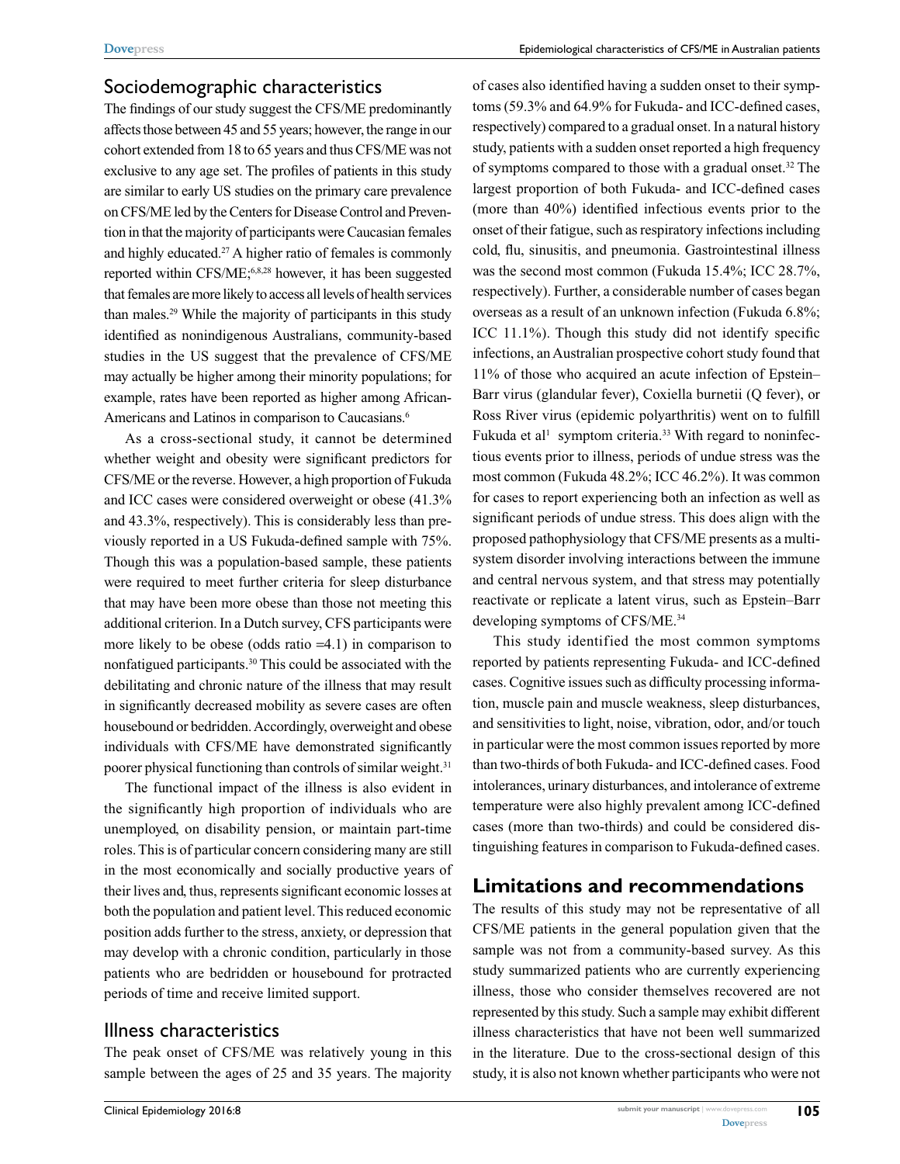#### Sociodemographic characteristics

The findings of our study suggest the CFS/ME predominantly affects those between 45 and 55 years; however, the range in our cohort extended from 18 to 65 years and thus CFS/ME was not exclusive to any age set. The profiles of patients in this study are similar to early US studies on the primary care prevalence on CFS/ME led by the Centers for Disease Control and Prevention in that the majority of participants were Caucasian females and highly educated.<sup>27</sup> A higher ratio of females is commonly reported within CFS/ME;6,8,28 however, it has been suggested that females are more likely to access all levels of health services than males.29 While the majority of participants in this study identified as nonindigenous Australians, community-based studies in the US suggest that the prevalence of CFS/ME may actually be higher among their minority populations; for example, rates have been reported as higher among African-Americans and Latinos in comparison to Caucasians.<sup>6</sup>

As a cross-sectional study, it cannot be determined whether weight and obesity were significant predictors for CFS/ME or the reverse. However, a high proportion of Fukuda and ICC cases were considered overweight or obese (41.3% and 43.3%, respectively). This is considerably less than previously reported in a US Fukuda-defined sample with 75%. Though this was a population-based sample, these patients were required to meet further criteria for sleep disturbance that may have been more obese than those not meeting this additional criterion. In a Dutch survey, CFS participants were more likely to be obese (odds ratio =4.1) in comparison to nonfatigued participants.30 This could be associated with the debilitating and chronic nature of the illness that may result in significantly decreased mobility as severe cases are often housebound or bedridden. Accordingly, overweight and obese individuals with CFS/ME have demonstrated significantly poorer physical functioning than controls of similar weight.<sup>31</sup>

The functional impact of the illness is also evident in the significantly high proportion of individuals who are unemployed, on disability pension, or maintain part-time roles. This is of particular concern considering many are still in the most economically and socially productive years of their lives and, thus, represents significant economic losses at both the population and patient level. This reduced economic position adds further to the stress, anxiety, or depression that may develop with a chronic condition, particularly in those patients who are bedridden or housebound for protracted periods of time and receive limited support.

### Illness characteristics

The peak onset of CFS/ME was relatively young in this sample between the ages of 25 and 35 years. The majority of cases also identified having a sudden onset to their symptoms (59.3% and 64.9% for Fukuda- and ICC-defined cases, respectively) compared to a gradual onset. In a natural history study, patients with a sudden onset reported a high frequency of symptoms compared to those with a gradual onset.<sup>32</sup> The largest proportion of both Fukuda- and ICC-defined cases (more than 40%) identified infectious events prior to the onset of their fatigue, such as respiratory infections including cold, flu, sinusitis, and pneumonia. Gastrointestinal illness was the second most common (Fukuda 15.4%; ICC 28.7%, respectively). Further, a considerable number of cases began overseas as a result of an unknown infection (Fukuda 6.8%; ICC 11.1%). Though this study did not identify specific infections, an Australian prospective cohort study found that 11% of those who acquired an acute infection of Epstein– Barr virus (glandular fever), Coxiella burnetii (Q fever), or Ross River virus (epidemic polyarthritis) went on to fulfill Fukuda et al<sup>1</sup> symptom criteria.<sup>33</sup> With regard to noninfectious events prior to illness, periods of undue stress was the most common (Fukuda 48.2%; ICC 46.2%). It was common for cases to report experiencing both an infection as well as significant periods of undue stress. This does align with the proposed pathophysiology that CFS/ME presents as a multisystem disorder involving interactions between the immune and central nervous system, and that stress may potentially reactivate or replicate a latent virus, such as Epstein–Barr developing symptoms of CFS/ME.34

This study identified the most common symptoms reported by patients representing Fukuda- and ICC-defined cases. Cognitive issues such as difficulty processing information, muscle pain and muscle weakness, sleep disturbances, and sensitivities to light, noise, vibration, odor, and/or touch in particular were the most common issues reported by more than two-thirds of both Fukuda- and ICC-defined cases. Food intolerances, urinary disturbances, and intolerance of extreme temperature were also highly prevalent among ICC-defined cases (more than two-thirds) and could be considered distinguishing features in comparison to Fukuda-defined cases.

## **Limitations and recommendations**

The results of this study may not be representative of all CFS/ME patients in the general population given that the sample was not from a community-based survey. As this study summarized patients who are currently experiencing illness, those who consider themselves recovered are not represented by this study. Such a sample may exhibit different illness characteristics that have not been well summarized in the literature. Due to the cross-sectional design of this study, it is also not known whether participants who were not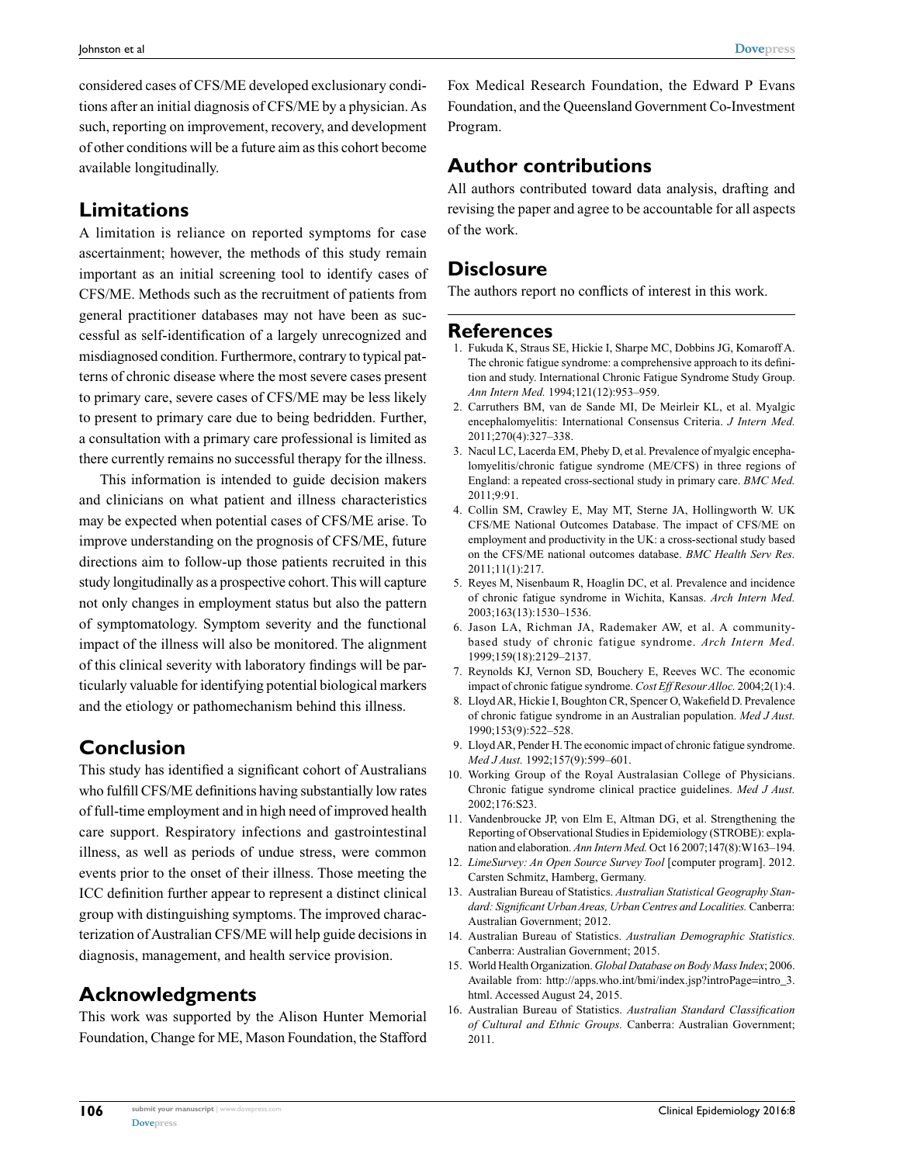considered cases of CFS/ME developed exclusionary conditions after an initial diagnosis of CFS/ME by a physician. As such, reporting on improvement, recovery, and development of other conditions will be a future aim as this cohort become available longitudinally.

## **Limitations**

A limitation is reliance on reported symptoms for case ascertainment; however, the methods of this study remain important as an initial screening tool to identify cases of CFS/ME. Methods such as the recruitment of patients from general practitioner databases may not have been as successful as self-identification of a largely unrecognized and misdiagnosed condition. Furthermore, contrary to typical patterns of chronic disease where the most severe cases present to primary care, severe cases of CFS/ME may be less likely to present to primary care due to being bedridden. Further, a consultation with a primary care professional is limited as there currently remains no successful therapy for the illness.

This information is intended to guide decision makers and clinicians on what patient and illness characteristics may be expected when potential cases of CFS/ME arise. To improve understanding on the prognosis of CFS/ME, future directions aim to follow-up those patients recruited in this study longitudinally as a prospective cohort. This will capture not only changes in employment status but also the pattern of symptomatology. Symptom severity and the functional impact of the illness will also be monitored. The alignment of this clinical severity with laboratory findings will be particularly valuable for identifying potential biological markers and the etiology or pathomechanism behind this illness.

# **Conclusion**

This study has identified a significant cohort of Australians who fulfill CFS/ME definitions having substantially low rates of full-time employment and in high need of improved health care support. Respiratory infections and gastrointestinal illness, as well as periods of undue stress, were common events prior to the onset of their illness. Those meeting the ICC definition further appear to represent a distinct clinical group with distinguishing symptoms. The improved characterization of Australian CFS/ME will help guide decisions in diagnosis, management, and health service provision.

## **Acknowledgments**

This work was supported by the Alison Hunter Memorial Foundation, Change for ME, Mason Foundation, the Stafford Fox Medical Research Foundation, the Edward P Evans Foundation, and the Queensland Government Co-Investment Program.

# **Author contributions**

All authors contributed toward data analysis, drafting and revising the paper and agree to be accountable for all aspects of the work.

## **Disclosure**

The authors report no conflicts of interest in this work.

### **References**

- 1. Fukuda K, Straus SE, Hickie I, Sharpe MC, Dobbins JG, Komaroff A. The chronic fatigue syndrome: a comprehensive approach to its definition and study. International Chronic Fatigue Syndrome Study Group. *Ann Intern Med.* 1994;121(12):953–959.
- 2. Carruthers BM, van de Sande MI, De Meirleir KL, et al. Myalgic encephalomyelitis: International Consensus Criteria. *J Intern Med.*  2011;270(4):327–338.
- 3. Nacul LC, Lacerda EM, Pheby D, et al. Prevalence of myalgic encephalomyelitis/chronic fatigue syndrome (ME/CFS) in three regions of England: a repeated cross-sectional study in primary care. *BMC Med.*  2011;9:91.
- 4. Collin SM, Crawley E, May MT, Sterne JA, Hollingworth W. UK CFS/ME National Outcomes Database. The impact of CFS/ME on employment and productivity in the UK: a cross-sectional study based on the CFS/ME national outcomes database. *BMC Health Serv Res.*  2011;11(1):217.
- 5. Reyes M, Nisenbaum R, Hoaglin DC, et al. Prevalence and incidence of chronic fatigue syndrome in Wichita, Kansas. *Arch Intern Med.*  2003;163(13):1530–1536.
- 6. Jason LA, Richman JA, Rademaker AW, et al. A communitybased study of chronic fatigue syndrome. *Arch Intern Med.*  1999;159(18):2129–2137.
- 7. Reynolds KJ, Vernon SD, Bouchery E, Reeves WC. The economic impact of chronic fatigue syndrome. *Cost Eff Resour Alloc.* 2004;2(1):4.
- 8. Lloyd AR, Hickie I, Boughton CR, Spencer O, Wakefield D. Prevalence of chronic fatigue syndrome in an Australian population. *Med J Aust.*  1990;153(9):522–528.
- 9. Lloyd AR, Pender H. The economic impact of chronic fatigue syndrome. *Med J Aust.* 1992;157(9):599–601.
- 10. Working Group of the Royal Australasian College of Physicians. Chronic fatigue syndrome clinical practice guidelines. *Med J Aust.*  2002;176:S23.
- 11. Vandenbroucke JP, von Elm E, Altman DG, et al. Strengthening the Reporting of Observational Studies in Epidemiology (STROBE): explanation and elaboration. *Ann Intern Med.* Oct 16 2007;147(8):W163–194.
- 12. *LimeSurvey: An Open Source Survey Tool* [computer program]. 2012. Carsten Schmitz, Hamberg, Germany.
- 13. Australian Bureau of Statistics. *Australian Statistical Geography Standard: Significant Urban Areas, Urban Centres and Localities.* Canberra: Australian Government; 2012.
- 14. Australian Bureau of Statistics. *Australian Demographic Statistics.*  Canberra: Australian Government; 2015.
- 15. World Health Organization. *Global Database on Body Mass Index*; 2006. Available from: http://apps.who.int/bmi/index.jsp?introPage=intro\_3. html. Accessed August 24, 2015.
- 16. Australian Bureau of Statistics. *Australian Standard Classification of Cultural and Ethnic Groups.* Canberra: Australian Government; 2011.